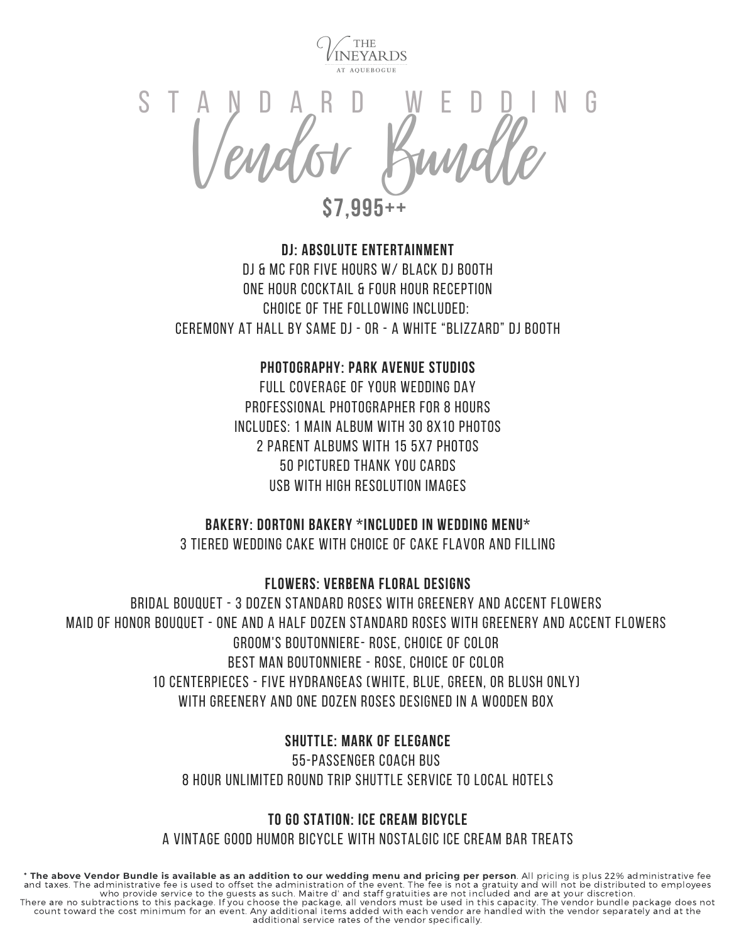

Condor Bundle S T A N D A R D W E D D I N G

**\$7,995++**

# **DJ: Absolute Entertainment** DJ & MC for Five Hours w/ Black DJ Booth One Hour Cocktail & Four Hour Reception Choice of the Following Included: Ceremony at Hall by same DJ - or - a White "Blizzard" DJ Booth

# **Photography: Park Avenue Studios**

Full Coverage of Your Wedding Day Professional Photographer for 8 Hours Includes: 1 Main Album with 30 8x10 Photos 2 Parent Albums with 15 5x7 Photos 50 Pictured Thank You Cards usb with high resolution Images

## **Bakery: dortoni bakery \*included in wedding menu\***

3 Tiered Wedding Cake with Choice of Cake Flavor and Filling

**Flowers: Verbena Floral Designs**

Bridal Bouquet - 3 dozen standard roses with greenery and accent flowers Maid of Honor Bouquet - one and a half dozen standard roses with greenery and accent flowers Groom's Boutonniere- rose, choice of color Best Man Boutonniere - rose, choice of color 10 centerpieces - five hydrangeas (white, blue, green, or blush only) with greenery and one dozen roses designed in a wooden box

## **Shuttle: Mark of elegance**

55-passenger coach bus 8 hour unlimited round trip shuttle service to local hotels

# **TO GO STATION: iCE cREAM bICYCLE**

A VINTAGE GOOD HUMOR BICYCLE WITH NOSTALGIC ICE CREAM BAR TREATS

\* The above Vendor Bundle is available as an addition to our wedding menu and pricing per person. All pricing is plus 22% administrative fee and taxes. The administrative fee is used to offset the administration of the event. The fee is not a gratuity and will not be distributed to employees<br>who provide service to the guests as such. Maitre d' and staff gratuit count toward the cost minimum for an event. Any additional items added with each vendor are handled with the vendor separately and at the additional service rates of the vendor specifically.